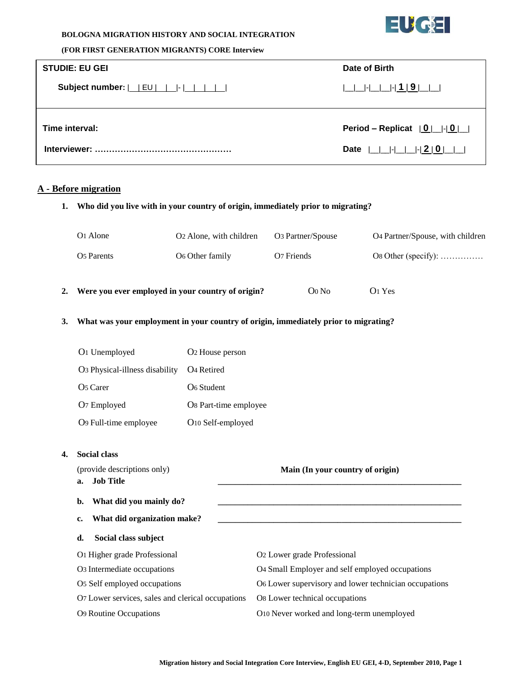

#### **BOLOGNA MIGRATION HISTORY AND SOCIAL INTEGRATION**

#### **(FOR FIRST GENERATION MIGRANTS) CORE Interview**

| <b>STUDIE: EU GEI</b>                                        | Date of Birth                     |  |
|--------------------------------------------------------------|-----------------------------------|--|
| Subject number: $ $ $ $ $EU$ $ $ $ $ $ $ $ $ $ $ $ $ $ $ $ $ |                                   |  |
| Time interval:                                               | Period – Replicat $ 0 $ $ $ $ 0 $ |  |

### **A - Before migration**

**1. Who did you live with in your country of origin, immediately prior to migrating?**

|                                                                                           | O1 Alone                                                                                                                                                                                  | O2 Alone, with children                               | O3 Partner/Spouse                         | O4 Partner/Spouse, with children |  |
|-------------------------------------------------------------------------------------------|-------------------------------------------------------------------------------------------------------------------------------------------------------------------------------------------|-------------------------------------------------------|-------------------------------------------|----------------------------------|--|
|                                                                                           | O5 Parents                                                                                                                                                                                | O6 Other family                                       | O7 Friends                                | Os Other (specify): $\dots$      |  |
| 2.                                                                                        | Were you ever employed in your country of origin?                                                                                                                                         |                                                       | $O0$ No                                   | O1 Yes                           |  |
| What was your employment in your country of origin, immediately prior to migrating?<br>3. |                                                                                                                                                                                           |                                                       |                                           |                                  |  |
|                                                                                           | O1 Unemployed                                                                                                                                                                             | O2 House person                                       |                                           |                                  |  |
|                                                                                           | O <sub>3</sub> Physical-illness disability                                                                                                                                                | O <sub>4</sub> Retired                                |                                           |                                  |  |
|                                                                                           | O <sub>5</sub> Carer                                                                                                                                                                      | O <sub>6</sub> Student                                |                                           |                                  |  |
|                                                                                           | O7 Employed                                                                                                                                                                               | Os Part-time employee                                 |                                           |                                  |  |
|                                                                                           | O9 Full-time employee                                                                                                                                                                     | O10 Self-employed                                     |                                           |                                  |  |
| 4.                                                                                        | <b>Social class</b>                                                                                                                                                                       |                                                       |                                           |                                  |  |
|                                                                                           | (provide descriptions only)<br><b>Job Title</b><br>a.<br>What did you mainly do?<br>b.<br>What did organization make?<br>c.<br>Social class subject<br>d.<br>O1 Higher grade Professional |                                                       | Main (In your country of origin)          |                                  |  |
|                                                                                           |                                                                                                                                                                                           |                                                       |                                           |                                  |  |
|                                                                                           |                                                                                                                                                                                           |                                                       |                                           |                                  |  |
|                                                                                           |                                                                                                                                                                                           |                                                       |                                           |                                  |  |
|                                                                                           |                                                                                                                                                                                           |                                                       | O2 Lower grade Professional               |                                  |  |
| O3 Intermediate occupations<br>O5 Self employed occupations                               |                                                                                                                                                                                           | O4 Small Employer and self employed occupations       |                                           |                                  |  |
|                                                                                           |                                                                                                                                                                                           | O6 Lower supervisory and lower technician occupations |                                           |                                  |  |
|                                                                                           | O7 Lower services, sales and clerical occupations                                                                                                                                         |                                                       | O8 Lower technical occupations            |                                  |  |
|                                                                                           | <b>O9 Routine Occupations</b>                                                                                                                                                             |                                                       | O10 Never worked and long-term unemployed |                                  |  |
|                                                                                           |                                                                                                                                                                                           |                                                       |                                           |                                  |  |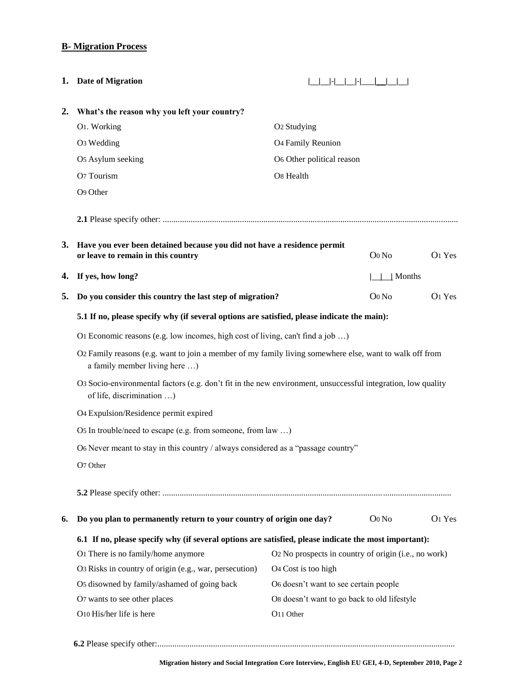## **B- Migration Process**

|    | 1. Date of Migration                                                                                                                      |                                                      |                |                    |
|----|-------------------------------------------------------------------------------------------------------------------------------------------|------------------------------------------------------|----------------|--------------------|
| 2. | What's the reason why you left your country?                                                                                              |                                                      |                |                    |
|    | O1. Working                                                                                                                               | O <sub>2</sub> Studying                              |                |                    |
|    | O <sub>3</sub> Wedding                                                                                                                    | O <sub>4</sub> Family Reunion                        |                |                    |
|    | O5 Asylum seeking                                                                                                                         | O6 Other political reason                            |                |                    |
|    | O7 Tourism                                                                                                                                | O8 Health                                            |                |                    |
|    | O9 Other                                                                                                                                  |                                                      |                |                    |
|    |                                                                                                                                           |                                                      |                |                    |
|    | 3. Have you ever been detained because you did not have a residence permit<br>or leave to remain in this country                          |                                                      | $O0$ No        | O <sub>1</sub> Yes |
| 4. | If yes, how long?                                                                                                                         |                                                      | $\perp$ Months |                    |
| 5. | Do you consider this country the last step of migration?                                                                                  |                                                      | Oo No          | O <sub>1</sub> Yes |
|    | 5.1 If no, please specify why (if several options are satisfied, please indicate the main):                                               |                                                      |                |                    |
|    | O1 Economic reasons (e.g. low incomes, high cost of living, can't find a job )                                                            |                                                      |                |                    |
|    | O2 Family reasons (e.g. want to join a member of my family living somewhere else, want to walk off from<br>a family member living here )  |                                                      |                |                    |
|    | O3 Socio-environmental factors (e.g. don't fit in the new environment, unsuccessful integration, low quality<br>of life, discrimination ) |                                                      |                |                    |
|    | O4 Expulsion/Residence permit expired                                                                                                     |                                                      |                |                    |
|    | Os In trouble/need to escape (e.g. from someone, from law )                                                                               |                                                      |                |                    |
|    | O6 Never meant to stay in this country / always considered as a "passage country"                                                         |                                                      |                |                    |
|    | O7 Other                                                                                                                                  |                                                      |                |                    |
|    |                                                                                                                                           |                                                      |                |                    |
| 6. | Do you plan to permanently return to your country of origin one day?                                                                      |                                                      | $O0$ No        | O <sub>1</sub> Yes |
|    | 6.1 If no, please specify why (if several options are satisfied, please indicate the most important):                                     |                                                      |                |                    |
|    | O1 There is no family/home anymore                                                                                                        | O2 No prospects in country of origin (i.e., no work) |                |                    |
|    | O3 Risks in country of origin (e.g., war, persecution)                                                                                    | O <sub>4</sub> Cost is too high                      |                |                    |
|    | O5 disowned by family/ashamed of going back                                                                                               | O6 doesn't want to see certain people                |                |                    |
|    | O7 wants to see other places                                                                                                              | Os doesn't want to go back to old lifestyle          |                |                    |
|    | O10 His/her life is here                                                                                                                  | O11 Other                                            |                |                    |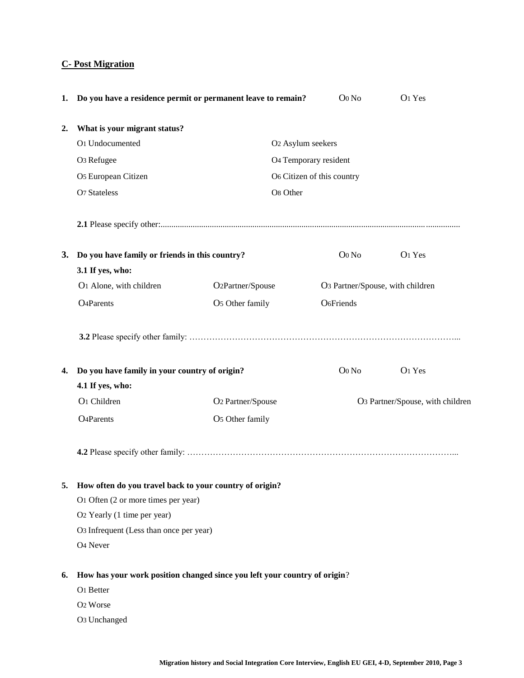# **C- Post Migration**

| 1.                                                            | Do you have a residence permit or permanent leave to remain?              |                               | Oo No                            | O1 Yes                           |
|---------------------------------------------------------------|---------------------------------------------------------------------------|-------------------------------|----------------------------------|----------------------------------|
| 2.                                                            | What is your migrant status?                                              |                               |                                  |                                  |
|                                                               | O1 Undocumented                                                           | O2 Asylum seekers             |                                  |                                  |
|                                                               | O <sub>3</sub> Refugee                                                    |                               | O4 Temporary resident            |                                  |
|                                                               | O5 European Citizen                                                       |                               | O6 Citizen of this country       |                                  |
|                                                               | <b>O7 Stateless</b>                                                       | O8 Other                      |                                  |                                  |
|                                                               |                                                                           |                               |                                  |                                  |
| <b>3.</b>                                                     | Do you have family or friends in this country?                            |                               | Oo No                            | O1 Yes                           |
|                                                               | 3.1 If yes, who:                                                          |                               |                                  |                                  |
|                                                               | O1 Alone, with children                                                   | O <sub>2</sub> Partner/Spouse | O3 Partner/Spouse, with children |                                  |
|                                                               | <b>O</b> <sub>4</sub> Parents                                             | O5 Other family               | O <sub>6</sub> Friends           |                                  |
|                                                               |                                                                           |                               |                                  |                                  |
| 4.                                                            | Do you have family in your country of origin?                             |                               | Oo No                            | O1 Yes                           |
|                                                               | 4.1 If yes, who:                                                          |                               |                                  |                                  |
|                                                               | O1 Children                                                               | O2 Partner/Spouse             |                                  | O3 Partner/Spouse, with children |
|                                                               | <b>O</b> <sub>4</sub> Parents                                             | O5 Other family               |                                  |                                  |
|                                                               |                                                                           |                               |                                  |                                  |
| How often do you travel back to your country of origin?<br>5. |                                                                           |                               |                                  |                                  |
|                                                               | O1 Often (2 or more times per year)                                       |                               |                                  |                                  |
|                                                               | O2 Yearly (1 time per year)                                               |                               |                                  |                                  |
|                                                               | O3 Infrequent (Less than once per year)                                   |                               |                                  |                                  |
|                                                               | O <sub>4</sub> Never                                                      |                               |                                  |                                  |
| 6.                                                            | How has your work position changed since you left your country of origin? |                               |                                  |                                  |
|                                                               | O1 Better                                                                 |                               |                                  |                                  |
|                                                               | O <sub>2</sub> Worse                                                      |                               |                                  |                                  |
|                                                               | O <sub>3</sub> Unchanged                                                  |                               |                                  |                                  |